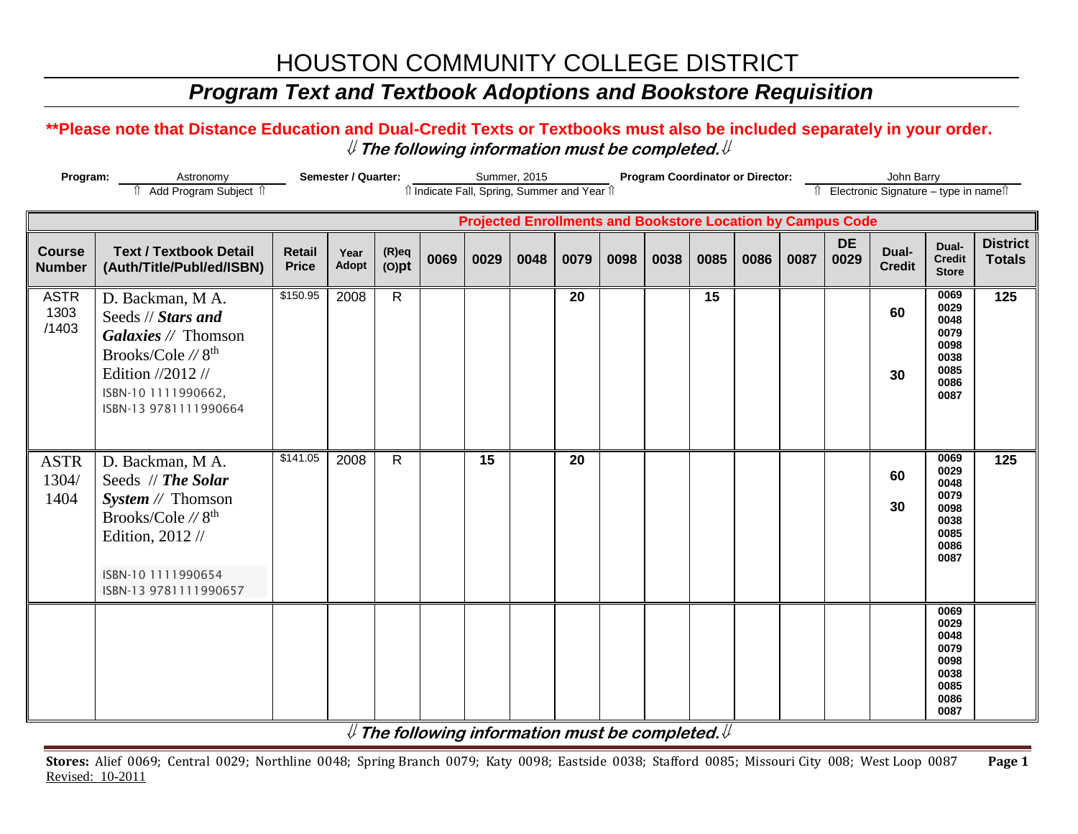### *Program Text and Textbook Adoptions and Bookstore Requisition*

#### **\*\*Please note that Distance Education and Dual-Credit Texts or Textbooks must also be included separately in your order.**   $\mathcal Y$  The following information must be completed.  $\mathcal Y$

| Program:<br>Astronomy<br>Add Program Subject 1 |                                                                                                                                                                           | Semester / Quarter:<br>Summer, 2015<br>îl Indicate Fall, Spring, Summer and Year îl<br><b>Projected Enrollments and Bookstore Location by Campus Code</b> |               |                      |      |      |      |      |      |      |      | <b>Program Coordinator or Director:</b><br>John Barry<br>Electronic Signature - type in names |      |                   |                        |                                                                      |                                  |  |
|------------------------------------------------|---------------------------------------------------------------------------------------------------------------------------------------------------------------------------|-----------------------------------------------------------------------------------------------------------------------------------------------------------|---------------|----------------------|------|------|------|------|------|------|------|-----------------------------------------------------------------------------------------------|------|-------------------|------------------------|----------------------------------------------------------------------|----------------------------------|--|
|                                                |                                                                                                                                                                           |                                                                                                                                                           |               |                      |      |      |      |      |      |      |      |                                                                                               |      |                   |                        |                                                                      |                                  |  |
| <b>Course</b><br><b>Number</b>                 | <b>Text / Textbook Detail</b><br>(Auth/Title/Publ/ed/ISBN)                                                                                                                | Retail<br><b>Price</b>                                                                                                                                    | Year<br>Adopt | $(R)$ eq<br>$(O)$ pt | 0069 | 0029 | 0048 | 0079 | 0098 | 0038 | 0085 | 0086                                                                                          | 0087 | <b>DE</b><br>0029 | Dual-<br><b>Credit</b> | Dual-<br><b>Credit</b><br><b>Store</b>                               | <b>District</b><br><b>Totals</b> |  |
| <b>ASTR</b><br>1303<br>/1403                   | D. Backman, M A.<br>Seeds // Stars and<br>Galaxies // Thomson<br>Brooks/Cole // 8 <sup>th</sup><br>Edition //2012 //<br>ISBN-10 1111990662,<br>ISBN-13 9781111990664      | \$150.95                                                                                                                                                  | 2008          | $\mathsf{R}$         |      |      |      | 20   |      |      | 15   |                                                                                               |      |                   | 60<br>30               | 0069<br>0029<br>0048<br>0079<br>0098<br>0038<br>0085<br>0086<br>0087 | 125                              |  |
| <b>ASTR</b><br>1304/<br>1404                   | D. Backman, M A.<br>Seeds // The Solar<br><i>System</i> $//$ Thomson<br>Brooks/Cole // 8 <sup>th</sup><br>Edition, 2012 //<br>ISBN-10 1111990654<br>ISBN-13 9781111990657 | \$141.05                                                                                                                                                  | 2008          | $\mathsf{R}$         |      | 15   |      | 20   |      |      |      |                                                                                               |      |                   | 60<br>30               | 0069<br>0029<br>0048<br>0079<br>0098<br>0038<br>0085<br>0086<br>0087 | 125                              |  |
|                                                |                                                                                                                                                                           |                                                                                                                                                           |               |                      |      |      |      |      |      |      |      |                                                                                               |      |                   |                        | 0069<br>0029<br>0048<br>0079<br>0098<br>0038<br>0085<br>0086<br>0087 |                                  |  |

 $\mathcal Y$  The following information must be completed.  $\mathcal Y$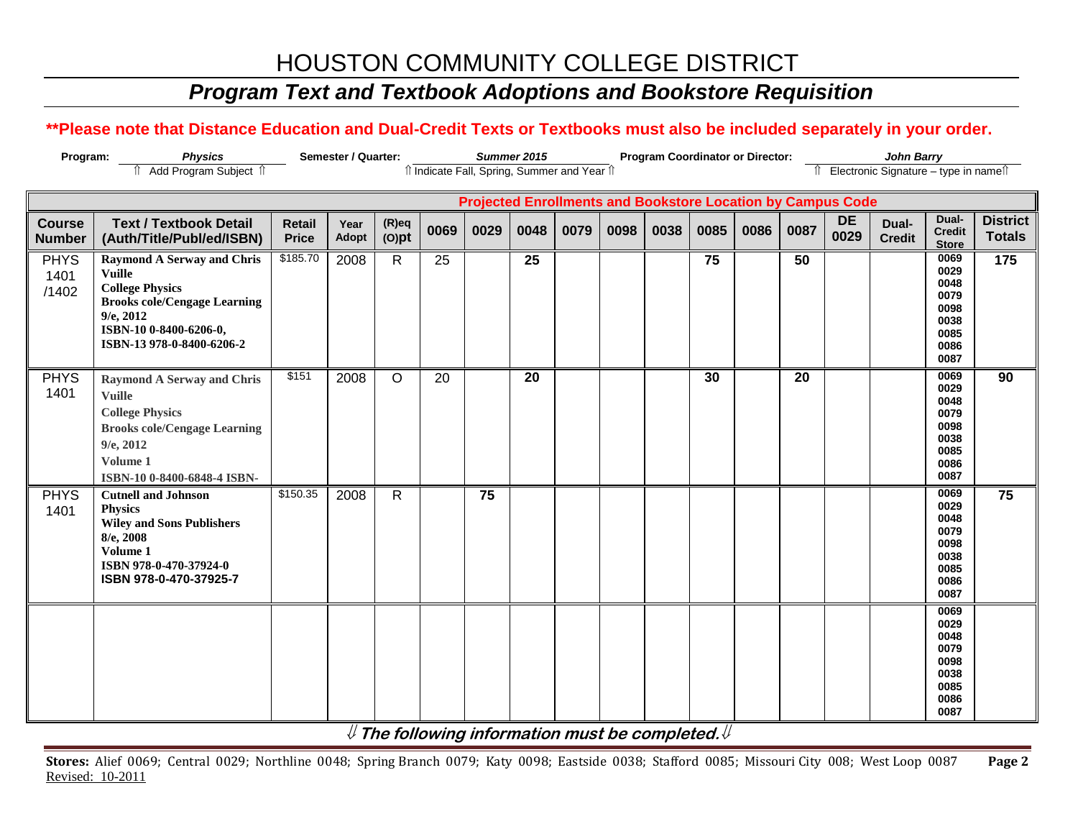### *Program Text and Textbook Adoptions and Bookstore Requisition*

### **\*\*Please note that Distance Education and Dual-Credit Texts or Textbooks must also be included separately in your order.**

| Program:                       | <b>Physics</b>                                                                                                                                                                               |                               | Semester / Quarter: |                      |      |      | Summer 2015 |                                              |      |      | <b>Program Coordinator or Director:</b> |      |      |                                                                    | <b>John Barry</b>                     |                                                                      |                                  |
|--------------------------------|----------------------------------------------------------------------------------------------------------------------------------------------------------------------------------------------|-------------------------------|---------------------|----------------------|------|------|-------------|----------------------------------------------|------|------|-----------------------------------------|------|------|--------------------------------------------------------------------|---------------------------------------|----------------------------------------------------------------------|----------------------------------|
|                                | Add Program Subject 1                                                                                                                                                                        |                               |                     |                      |      |      |             | îl Indicate Fall, Spring, Summer and Year îl |      |      |                                         |      |      |                                                                    | ↑ Electronic Signature – type in name |                                                                      |                                  |
|                                |                                                                                                                                                                                              |                               |                     |                      |      |      |             |                                              |      |      |                                         |      |      |                                                                    |                                       |                                                                      |                                  |
|                                |                                                                                                                                                                                              |                               |                     |                      |      |      |             |                                              |      |      |                                         |      |      | <b>Projected Enrollments and Bookstore Location by Campus Code</b> |                                       |                                                                      |                                  |
| <b>Course</b><br><b>Number</b> | <b>Text / Textbook Detail</b><br>(Auth/Title/Publ/ed/ISBN)                                                                                                                                   | <b>Retail</b><br><b>Price</b> | Year<br>Adopt       | $(R)$ eq<br>$(O)$ pt | 0069 | 0029 | 0048        | 0079                                         | 0098 | 0038 | 0085                                    | 0086 | 0087 | <b>DE</b><br>0029                                                  | Dual-<br><b>Credit</b>                | Dual-<br><b>Credit</b><br><b>Store</b>                               | <b>District</b><br><b>Totals</b> |
| <b>PHYS</b><br>1401<br>/1402   | <b>Raymond A Serway and Chris</b><br><b>Vuille</b><br><b>College Physics</b><br><b>Brooks cole/Cengage Learning</b><br>$9/e$ , $2012$<br>ISBN-10 0-8400-6206-0,<br>ISBN-13 978-0-8400-6206-2 | \$185.70                      | 2008                | $\mathsf{R}$         | 25   |      | 25          |                                              |      |      | 75                                      |      | 50   |                                                                    |                                       | 0069<br>0029<br>0048<br>0079<br>0098<br>0038<br>0085<br>0086<br>0087 | 175                              |
| <b>PHYS</b><br>1401            | <b>Raymond A Serway and Chris</b><br><b>Vuille</b><br><b>College Physics</b><br><b>Brooks cole/Cengage Learning</b><br>$9/e$ , 2012<br>Volume 1<br>ISBN-10 0-8400-6848-4 ISBN-               | \$151                         | 2008                | $\circ$              | 20   |      | 20          |                                              |      |      | 30                                      |      | 20   |                                                                    |                                       | 0069<br>0029<br>0048<br>0079<br>0098<br>0038<br>0085<br>0086<br>0087 | 90                               |
| <b>PHYS</b><br>1401            | <b>Cutnell and Johnson</b><br><b>Physics</b><br><b>Wiley and Sons Publishers</b><br>8/e, 2008<br>Volume 1<br>ISBN 978-0-470-37924-0<br>ISBN 978-0-470-37925-7                                | \$150.35                      | 2008                | $\mathsf{R}$         |      | 75   |             |                                              |      |      |                                         |      |      |                                                                    |                                       | 0069<br>0029<br>0048<br>0079<br>0098<br>0038<br>0085<br>0086<br>0087 | 75                               |
|                                |                                                                                                                                                                                              |                               |                     |                      |      |      |             |                                              |      |      |                                         |      |      |                                                                    |                                       | 0069<br>0029<br>0048<br>0079<br>0098<br>0038<br>0085<br>0086<br>0087 |                                  |

**The following information must be completed.**

**Stores:** Alief 0069; Central 0029; Northline 0048; Spring Branch 0079; Katy 0098; Eastside 0038; Stafford 0085; Missouri City 008; West Loop 0087 **Page 2** Revised: 10-2011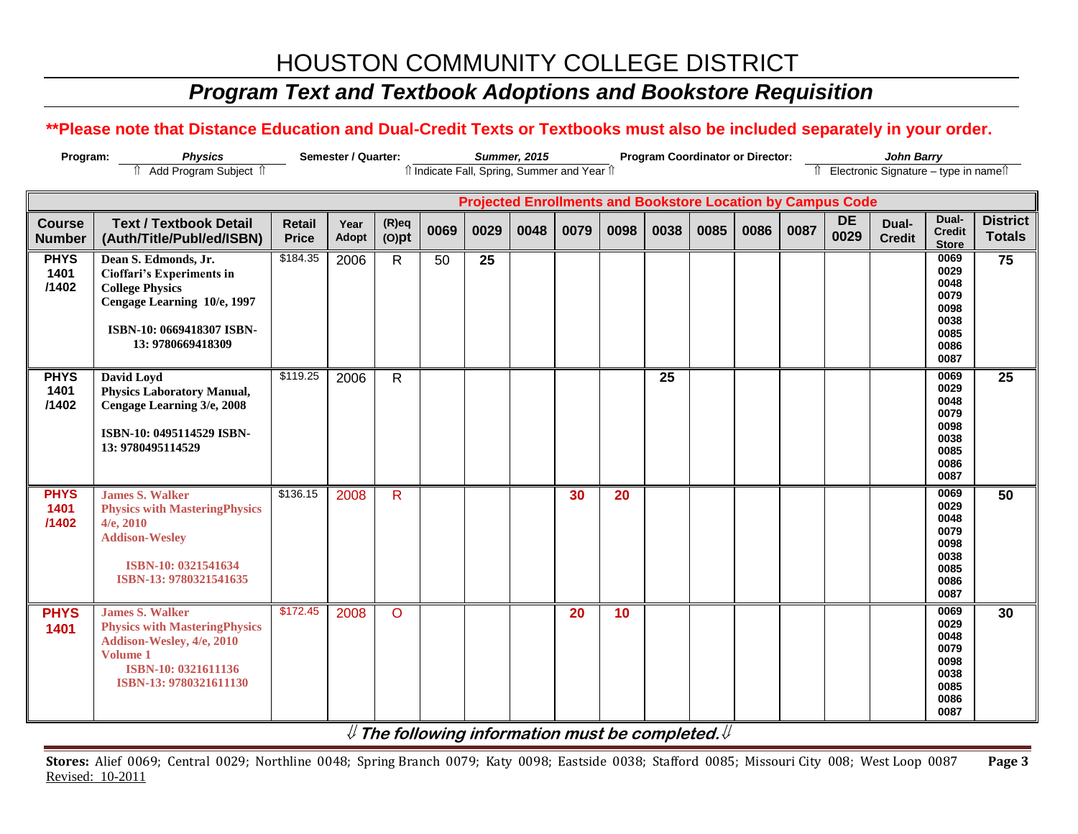## *Program Text and Textbook Adoptions and Bookstore Requisition*

### **\*\*Please note that Distance Education and Dual-Credit Texts or Textbooks must also be included separately in your order.**

| Program:                       | <b>Physics</b>                                                                                                                                               | Semester / Quarter:           |                      |                      | <b>Summer, 2015</b> |                 | <b>Program Coordinator or Director:</b> |                                              |      |      |      | <b>John Barry</b> |      |                                                                    |                                        |                                                                      |                                  |
|--------------------------------|--------------------------------------------------------------------------------------------------------------------------------------------------------------|-------------------------------|----------------------|----------------------|---------------------|-----------------|-----------------------------------------|----------------------------------------------|------|------|------|-------------------|------|--------------------------------------------------------------------|----------------------------------------|----------------------------------------------------------------------|----------------------------------|
|                                | Add Program Subject 1                                                                                                                                        |                               |                      |                      |                     |                 |                                         | îl Indicate Fall, Spring, Summer and Year îl |      |      |      |                   |      |                                                                    | î Electronic Signature - type in nameî |                                                                      |                                  |
|                                |                                                                                                                                                              |                               |                      |                      |                     |                 |                                         |                                              |      |      |      |                   |      | <b>Projected Enrollments and Bookstore Location by Campus Code</b> |                                        |                                                                      |                                  |
| <b>Course</b><br><b>Number</b> | <b>Text / Textbook Detail</b><br>(Auth/Title/Publ/ed/ISBN)                                                                                                   | <b>Retail</b><br><b>Price</b> | Year<br><b>Adopt</b> | $(R)$ eq<br>$(O)$ pt | 0069                | 0029            | 0048                                    | 0079                                         | 0098 | 0038 | 0085 | 0086              | 0087 | <b>DE</b><br>0029                                                  | Dual-<br><b>Credit</b>                 | Dual-<br><b>Credit</b><br><b>Store</b>                               | <b>District</b><br><b>Totals</b> |
| <b>PHYS</b><br>1401<br>/1402   | Dean S. Edmonds, Jr.<br>Cioffari's Experiments in<br><b>College Physics</b><br>Cengage Learning 10/e, 1997<br>ISBN-10: 0669418307 ISBN-<br>13: 9780669418309 | \$184.35                      | 2006                 | $\mathsf{R}$         | 50                  | $\overline{25}$ |                                         |                                              |      |      |      |                   |      |                                                                    |                                        | 0069<br>0029<br>0048<br>0079<br>0098<br>0038<br>0085<br>0086<br>0087 | $\overline{75}$                  |
| <b>PHYS</b><br>1401<br>/1402   | David Loyd<br><b>Physics Laboratory Manual,</b><br>Cengage Learning 3/e, 2008<br>ISBN-10: 0495114529 ISBN-<br>13: 9780495114529                              | \$119.25                      | 2006                 | $\mathsf{R}$         |                     |                 |                                         |                                              |      | 25   |      |                   |      |                                                                    |                                        | 0069<br>0029<br>0048<br>0079<br>0098<br>0038<br>0085<br>0086<br>0087 | $\overline{25}$                  |
| <b>PHYS</b><br>1401<br>/1402   | <b>James S. Walker</b><br><b>Physics with MasteringPhysics</b><br>$4/e$ , $2010$<br><b>Addison-Wesley</b><br>ISBN-10: 0321541634<br>ISBN-13: 9780321541635   | \$136.15                      | 2008                 | $\mathsf{R}$         |                     |                 |                                         | 30                                           | 20   |      |      |                   |      |                                                                    |                                        | 0069<br>0029<br>0048<br>0079<br>0098<br>0038<br>0085<br>0086<br>0087 | 50                               |
| <b>PHYS</b><br>1401            | <b>James S. Walker</b><br><b>Physics with MasteringPhysics</b><br>Addison-Wesley, 4/e, 2010<br>Volume 1<br>ISBN-10: 0321611136<br>ISBN-13: 9780321611130     | \$172.45                      | 2008                 | $\circ$              |                     |                 |                                         | 20                                           | 10   |      |      |                   |      |                                                                    |                                        | 0069<br>0029<br>0048<br>0079<br>0098<br>0038<br>0085<br>0086<br>0087 | 30                               |

**The following information must be completed.**

**Stores:** Alief 0069; Central 0029; Northline 0048; Spring Branch 0079; Katy 0098; Eastside 0038; Stafford 0085; Missouri City 008; West Loop 0087 **Page 3** Revised: 10-2011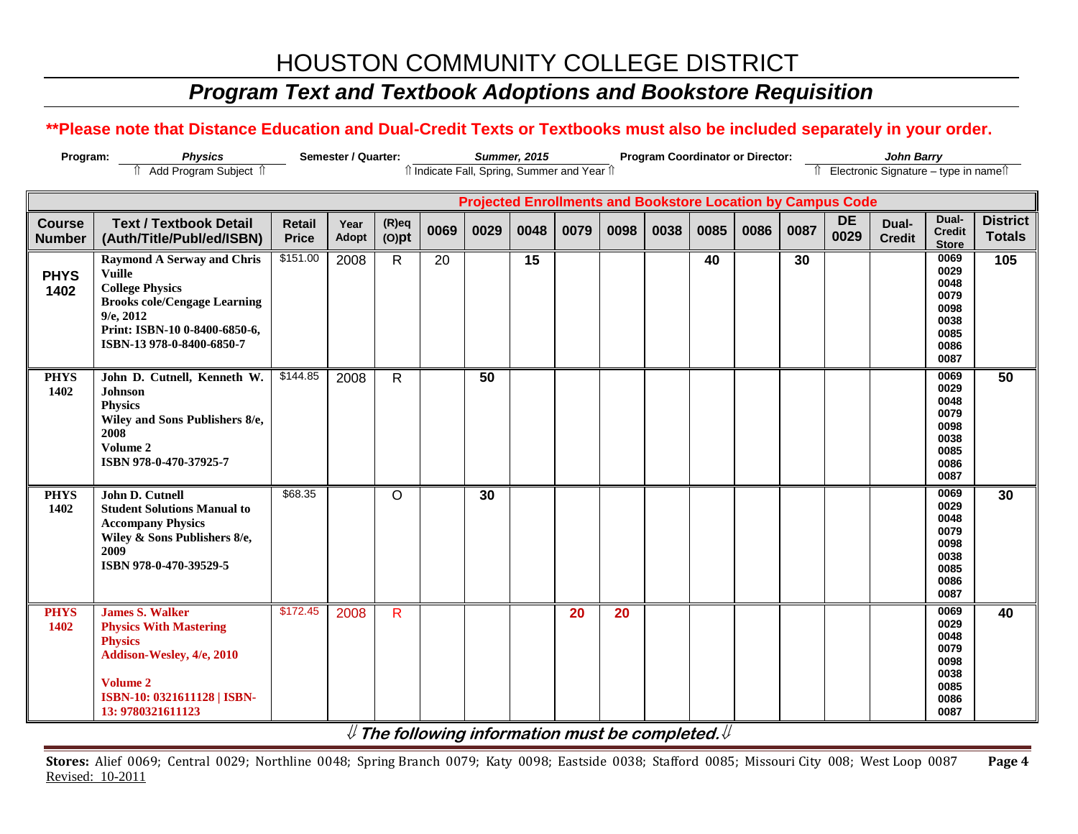## *Program Text and Textbook Adoptions and Bookstore Requisition*

### **\*\*Please note that Distance Education and Dual-Credit Texts or Textbooks must also be included separately in your order.**

| Program:                       | <b>Physics</b>                                                                                                                                                                             |                               | Semester / Quarter:  |                      | <b>Summer, 2015</b><br><b>Program Coordinator or Director:</b> |      |      |      |      |      |                                                                    |      |      |                   | <b>John Barry</b><br>Îl Electronic Signature - type in nameîl |                                                                      |                                  |  |  |
|--------------------------------|--------------------------------------------------------------------------------------------------------------------------------------------------------------------------------------------|-------------------------------|----------------------|----------------------|----------------------------------------------------------------|------|------|------|------|------|--------------------------------------------------------------------|------|------|-------------------|---------------------------------------------------------------|----------------------------------------------------------------------|----------------------------------|--|--|
|                                | fî Add Program Subject fî                                                                                                                                                                  |                               |                      |                      | îl Indicate Fall, Spring, Summer and Year îl                   |      |      |      |      |      |                                                                    |      |      |                   |                                                               |                                                                      |                                  |  |  |
|                                |                                                                                                                                                                                            |                               |                      |                      |                                                                |      |      |      |      |      | <b>Projected Enrollments and Bookstore Location by Campus Code</b> |      |      |                   |                                                               |                                                                      |                                  |  |  |
| <b>Course</b><br><b>Number</b> | <b>Text / Textbook Detail</b><br>(Auth/Title/Publ/ed/ISBN)                                                                                                                                 | <b>Retail</b><br><b>Price</b> | Year<br><b>Adopt</b> | $(R)$ eq<br>$(O)$ pt | 0069                                                           | 0029 | 0048 | 0079 | 0098 | 0038 | 0085                                                               | 0086 | 0087 | <b>DE</b><br>0029 | Dual-<br><b>Credit</b>                                        | Dual-<br><b>Credit</b><br><b>Store</b>                               | <b>District</b><br><b>Totals</b> |  |  |
| <b>PHYS</b><br>1402            | <b>Raymond A Serway and Chris</b><br>Vuille<br><b>College Physics</b><br><b>Brooks cole/Cengage Learning</b><br>$9/e$ , 2012<br>Print: ISBN-10 0-8400-6850-6,<br>ISBN-13 978-0-8400-6850-7 | \$151.00                      | 2008                 | $\mathsf{R}$         | 20                                                             |      | 15   |      |      |      | 40                                                                 |      | 30   |                   |                                                               | 0069<br>0029<br>0048<br>0079<br>0098<br>0038<br>0085<br>0086<br>0087 | 105                              |  |  |
| <b>PHYS</b><br>1402            | John D. Cutnell, Kenneth W.<br><b>Johnson</b><br><b>Physics</b><br>Wiley and Sons Publishers 8/e,<br>2008<br>Volume 2<br>ISBN 978-0-470-37925-7                                            | \$144.85                      | 2008                 | R                    |                                                                | 50   |      |      |      |      |                                                                    |      |      |                   |                                                               | 0069<br>0029<br>0048<br>0079<br>0098<br>0038<br>0085<br>0086<br>0087 | 50                               |  |  |
| <b>PHYS</b><br>1402            | John D. Cutnell<br><b>Student Solutions Manual to</b><br><b>Accompany Physics</b><br>Wiley & Sons Publishers 8/e,<br>2009<br>ISBN 978-0-470-39529-5                                        | \$68.35                       |                      | $\Omega$             |                                                                | 30   |      |      |      |      |                                                                    |      |      |                   |                                                               | 0069<br>0029<br>0048<br>0079<br>0098<br>0038<br>0085<br>0086<br>0087 | 30                               |  |  |
| <b>PHYS</b><br>1402            | <b>James S. Walker</b><br><b>Physics With Mastering</b><br><b>Physics</b><br>Addison-Wesley, 4/e, 2010<br>Volume 2<br>ISBN-10: 0321611128   ISBN-<br>13: 9780321611123                     | \$172.45                      | 2008                 | R                    |                                                                |      |      | 20   | 20   |      |                                                                    |      |      |                   |                                                               | 0069<br>0029<br>0048<br>0079<br>0098<br>0038<br>0085<br>0086<br>0087 | 40                               |  |  |

**The following information must be completed.**

**Stores:** Alief 0069; Central 0029; Northline 0048; Spring Branch 0079; Katy 0098; Eastside 0038; Stafford 0085; Missouri City 008; West Loop 0087 **Page 4** Revised: 10-2011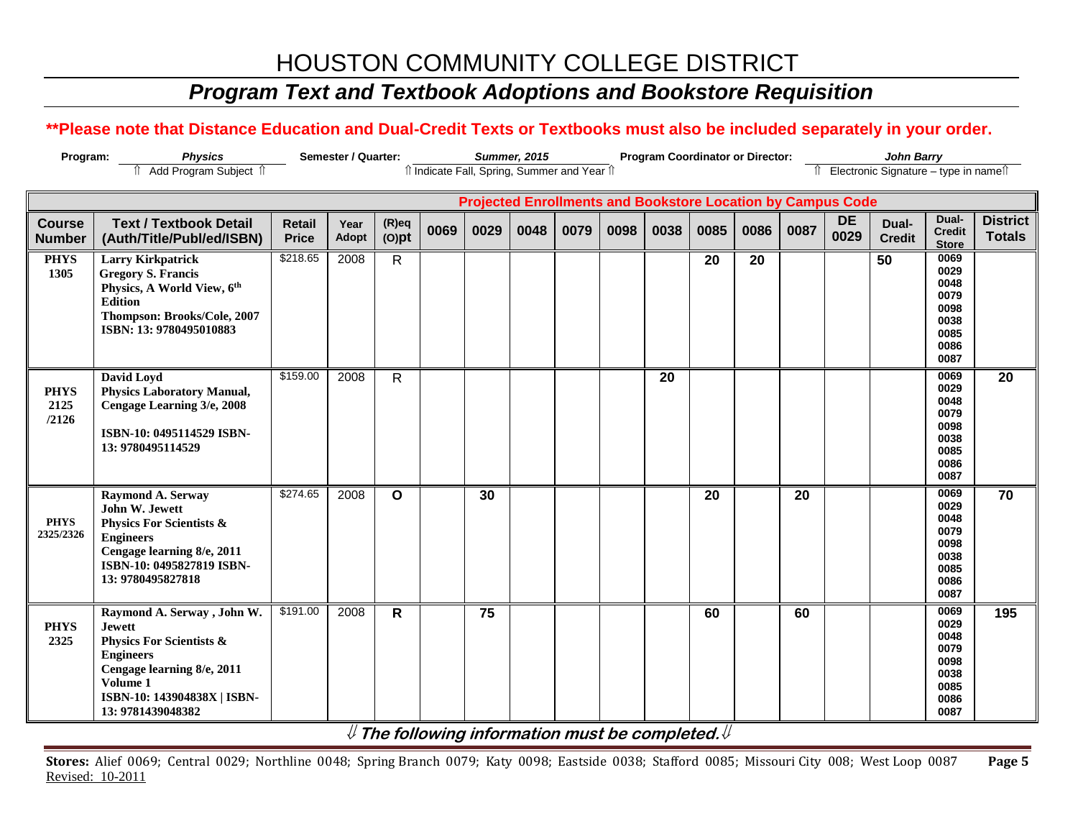## *Program Text and Textbook Adoptions and Bookstore Requisition*

### **\*\*Please note that Distance Education and Dual-Credit Texts or Textbooks must also be included separately in your order.**

| Program:<br><b>Physics</b><br>Semester / Quarter: |                                                                                                                                                                                                       |                               |                      |                      |      |      | <b>Summer, 2015</b> |                                                                    | <b>Program Coordinator or Director:</b> |      |                 |      |      | <b>John Barry</b> |                                        |                                                                      |                                  |  |
|---------------------------------------------------|-------------------------------------------------------------------------------------------------------------------------------------------------------------------------------------------------------|-------------------------------|----------------------|----------------------|------|------|---------------------|--------------------------------------------------------------------|-----------------------------------------|------|-----------------|------|------|-------------------|----------------------------------------|----------------------------------------------------------------------|----------------------------------|--|
|                                                   | Add Program Subject 1                                                                                                                                                                                 |                               |                      |                      |      |      |                     | îl Indicate Fall, Spring, Summer and Year îl                       |                                         |      |                 |      |      |                   | î Electronic Signature – type in nameî |                                                                      |                                  |  |
|                                                   |                                                                                                                                                                                                       |                               |                      |                      |      |      |                     |                                                                    |                                         |      |                 |      |      |                   |                                        |                                                                      |                                  |  |
|                                                   |                                                                                                                                                                                                       |                               |                      |                      |      |      |                     | <b>Projected Enrollments and Bookstore Location by Campus Code</b> |                                         |      |                 |      |      |                   |                                        |                                                                      |                                  |  |
| <b>Course</b><br><b>Number</b>                    | <b>Text / Textbook Detail</b><br>(Auth/Title/Publ/ed/ISBN)                                                                                                                                            | <b>Retail</b><br><b>Price</b> | Year<br><b>Adopt</b> | $(R)$ eq<br>$(O)$ pt | 0069 | 0029 | 0048                | 0079                                                               | 0098                                    | 0038 | 0085            | 0086 | 0087 | <b>DE</b><br>0029 | Dual-<br><b>Credit</b>                 | Dual-<br><b>Credit</b><br><b>Store</b>                               | <b>District</b><br><b>Totals</b> |  |
| <b>PHYS</b><br>1305                               | <b>Larry Kirkpatrick</b><br><b>Gregory S. Francis</b><br>Physics, A World View, 6th<br><b>Edition</b><br>Thompson: Brooks/Cole, 2007<br>ISBN: 13: 9780495010883                                       | \$218.65                      | 2008                 | $\mathsf{R}$         |      |      |                     |                                                                    |                                         |      | 20              | 20   |      |                   | 50                                     | 0069<br>0029<br>0048<br>0079<br>0098<br>0038<br>0085<br>0086<br>0087 |                                  |  |
| <b>PHYS</b><br>2125<br>/2126                      | David Loyd<br><b>Physics Laboratory Manual,</b><br>Cengage Learning 3/e, 2008<br>ISBN-10: 0495114529 ISBN-<br>13: 9780495114529                                                                       | \$159.00                      | 2008                 | $\mathsf{R}$         |      |      |                     |                                                                    |                                         | 20   |                 |      |      |                   |                                        | 0069<br>0029<br>0048<br>0079<br>0098<br>0038<br>0085<br>0086<br>0087 | 20                               |  |
| <b>PHYS</b><br>2325/2326                          | Raymond A. Serway<br>John W. Jewett<br><b>Physics For Scientists &amp;</b><br><b>Engineers</b><br>Cengage learning 8/e, 2011<br>ISBN-10: 0495827819 ISBN-<br>13: 9780495827818                        | \$274.65                      | 2008                 | $\mathbf{o}$         |      | 30   |                     |                                                                    |                                         |      | $\overline{20}$ |      | 20   |                   |                                        | 0069<br>0029<br>0048<br>0079<br>0098<br>0038<br>0085<br>0086<br>0087 | 70                               |  |
| <b>PHYS</b><br>2325                               | Raymond A. Serway , John W.<br><b>Jewett</b><br><b>Physics For Scientists &amp;</b><br><b>Engineers</b><br>Cengage learning 8/e, 2011<br>Volume 1<br>ISBN-10: 143904838X   ISBN-<br>13: 9781439048382 | \$191.00                      | 2008                 | $\mathsf{R}$         |      | 75   |                     |                                                                    |                                         |      | 60              |      | 60   |                   |                                        | 0069<br>0029<br>0048<br>0079<br>0098<br>0038<br>0085<br>0086<br>0087 | 195                              |  |

**The following information must be completed.**

**Stores:** Alief 0069; Central 0029; Northline 0048; Spring Branch 0079; Katy 0098; Eastside 0038; Stafford 0085; Missouri City 008; West Loop 0087 **Page 5** Revised: 10-2011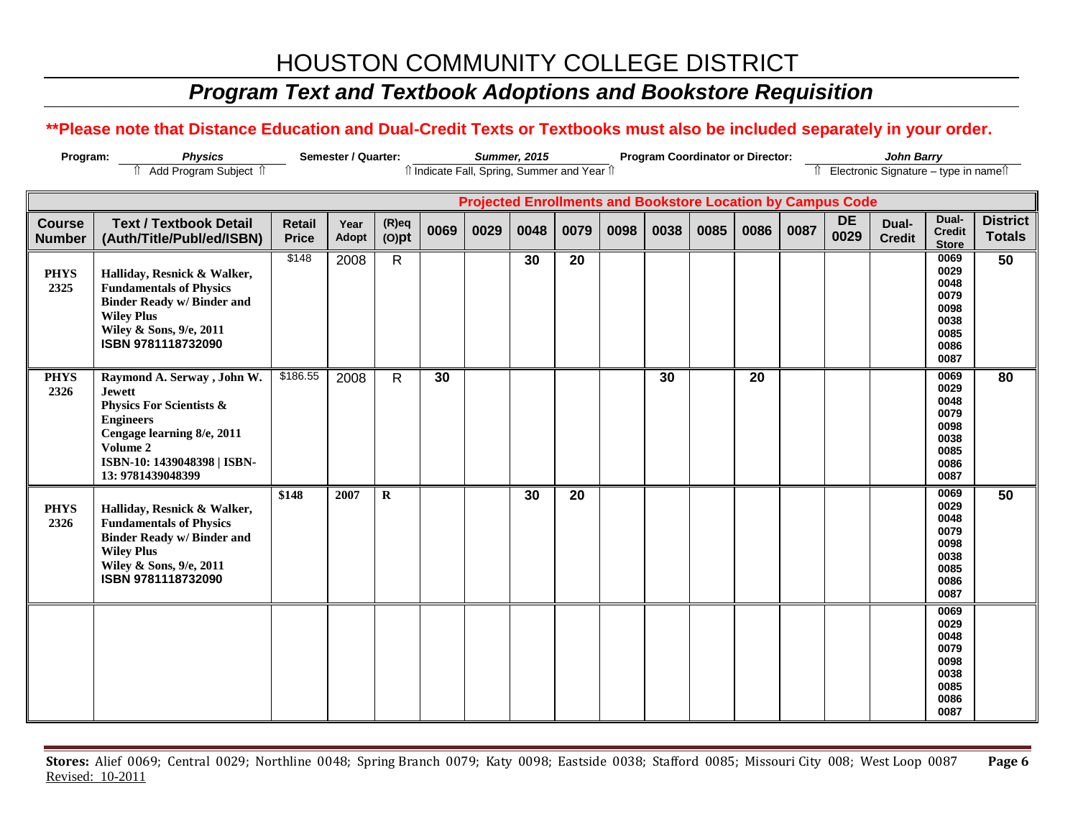# *Program Text and Textbook Adoptions and Bookstore Requisition*

### **\*\*Please note that Distance Education and Dual-Credit Texts or Textbooks must also be included separately in your order.**

| <b>Physics</b><br>Semester / Quarter:<br>Program: |                                                                                                                                                                                                       |                               |                      | <b>Summer, 2015</b>  |      |      |      | <b>Program Coordinator or Director:</b><br><b>John Barry</b>       |      |      |      |      |      |                   |                                        |                                                                      |                                  |
|---------------------------------------------------|-------------------------------------------------------------------------------------------------------------------------------------------------------------------------------------------------------|-------------------------------|----------------------|----------------------|------|------|------|--------------------------------------------------------------------|------|------|------|------|------|-------------------|----------------------------------------|----------------------------------------------------------------------|----------------------------------|
|                                                   | Add Program Subject 1                                                                                                                                                                                 |                               |                      |                      |      |      |      | îl Indicate Fall, Spring, Summer and Year îl                       |      |      |      |      |      |                   | î Electronic Signature – type in nameî |                                                                      |                                  |
|                                                   |                                                                                                                                                                                                       |                               |                      |                      |      |      |      | <b>Projected Enrollments and Bookstore Location by Campus Code</b> |      |      |      |      |      |                   |                                        |                                                                      |                                  |
| <b>Course</b><br><b>Number</b>                    | <b>Text / Textbook Detail</b><br>(Auth/Title/Publ/ed/ISBN)                                                                                                                                            | <b>Retail</b><br><b>Price</b> | Year<br><b>Adopt</b> | $(R)$ eq<br>$(O)$ pt | 0069 | 0029 | 0048 | 0079                                                               | 0098 | 0038 | 0085 | 0086 | 0087 | <b>DE</b><br>0029 | Dual-<br><b>Credit</b>                 | Dual-<br><b>Credit</b><br><b>Store</b>                               | <b>District</b><br><b>Totals</b> |
| <b>PHYS</b><br>2325                               | Halliday, Resnick & Walker,<br><b>Fundamentals of Physics</b><br><b>Binder Ready w/Binder and</b><br><b>Wiley Plus</b><br>Wiley & Sons, 9/e, 2011<br>ISBN 9781118732090                               | \$148                         | 2008                 | $\mathsf{R}$         |      |      | 30   | 20                                                                 |      |      |      |      |      |                   |                                        | 0069<br>0029<br>0048<br>0079<br>0098<br>0038<br>0085<br>0086<br>0087 | 50                               |
| <b>PHYS</b><br>2326                               | Raymond A. Serway , John W.<br><b>Jewett</b><br><b>Physics For Scientists &amp;</b><br><b>Engineers</b><br>Cengage learning 8/e, 2011<br>Volume 2<br>ISBN-10: 1439048398   ISBN-<br>13: 9781439048399 | \$186.55                      | 2008                 | $\mathsf{R}$         | 30   |      |      |                                                                    |      | 30   |      | 20   |      |                   |                                        | 0069<br>0029<br>0048<br>0079<br>0098<br>0038<br>0085<br>0086<br>0087 | 80                               |
| <b>PHYS</b><br>2326                               | Halliday, Resnick & Walker,<br><b>Fundamentals of Physics</b><br><b>Binder Ready w/Binder and</b><br><b>Wiley Plus</b><br>Wiley & Sons, 9/e, 2011<br>ISBN 9781118732090                               | \$148                         | 2007                 | $\mathbf R$          |      |      | 30   | 20                                                                 |      |      |      |      |      |                   |                                        | 0069<br>0029<br>0048<br>0079<br>0098<br>0038<br>0085<br>0086<br>0087 | 50                               |
|                                                   |                                                                                                                                                                                                       |                               |                      |                      |      |      |      |                                                                    |      |      |      |      |      |                   |                                        | 0069<br>0029<br>0048<br>0079<br>0098<br>0038<br>0085<br>0086<br>0087 |                                  |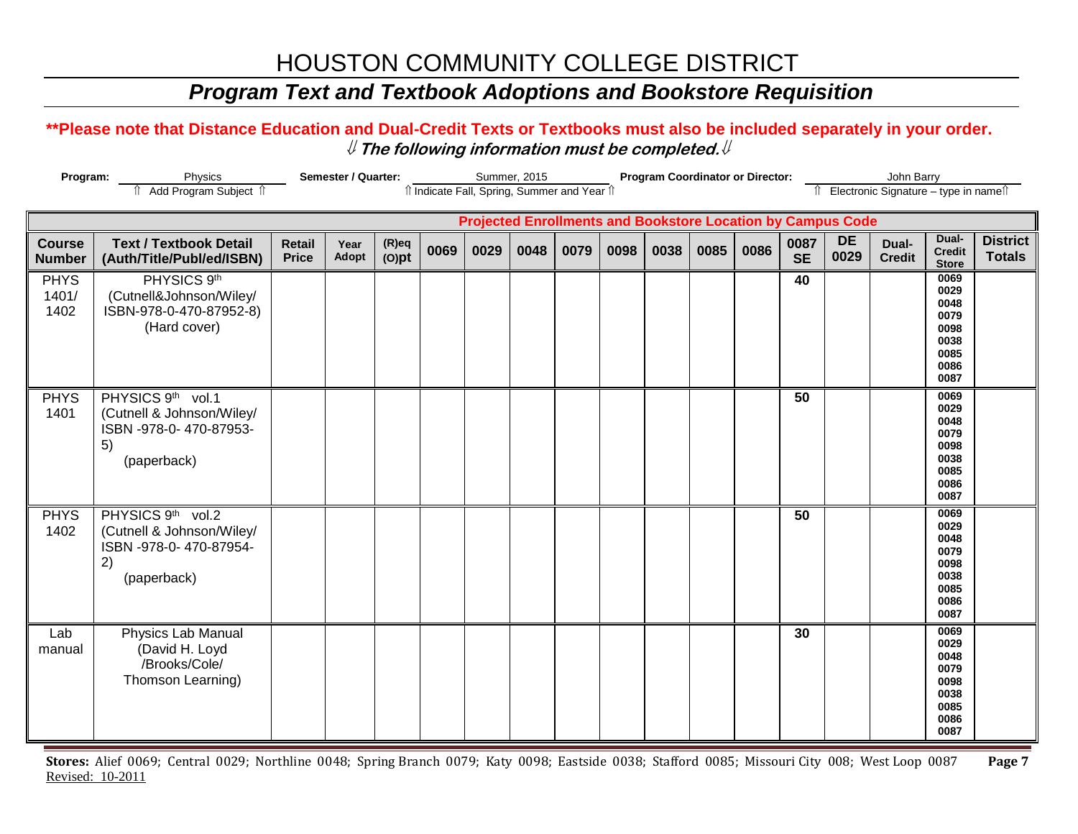## *Program Text and Textbook Adoptions and Bookstore Requisition*

#### **\*\*Please note that Distance Education and Dual-Credit Texts or Textbooks must also be included separately in your order.**   $\mathcal Y$  The following information must be completed.  $\mathcal Y$

| Program:<br>Semester / Quarter:<br>Physics<br>Add Program Subject 1 |                                                                                               |                               |               |                      |      | Summer, 2015 | îl Indicate Fall, Spring, Summer and Year îl |                                                                    |      | <b>Program Coordinator or Director:</b> |      |      | John Barry<br>Electronic Signature - type in namest |                   |                        |                                                                      |                                  |
|---------------------------------------------------------------------|-----------------------------------------------------------------------------------------------|-------------------------------|---------------|----------------------|------|--------------|----------------------------------------------|--------------------------------------------------------------------|------|-----------------------------------------|------|------|-----------------------------------------------------|-------------------|------------------------|----------------------------------------------------------------------|----------------------------------|
|                                                                     |                                                                                               |                               |               |                      |      |              |                                              | <b>Projected Enrollments and Bookstore Location by Campus Code</b> |      |                                         |      |      |                                                     |                   |                        |                                                                      |                                  |
| <b>Course</b><br><b>Number</b>                                      | <b>Text / Textbook Detail</b><br>(Auth/Title/Publ/ed/ISBN)                                    | <b>Retail</b><br><b>Price</b> | Year<br>Adopt | $(R)$ eq<br>$(O)$ pt | 0069 | 0029         | 0048                                         | 0079                                                               | 0098 | 0038                                    | 0085 | 0086 | 0087<br><b>SE</b>                                   | <b>DE</b><br>0029 | Dual-<br><b>Credit</b> | Dual-<br><b>Credit</b><br><b>Store</b>                               | <b>District</b><br><b>Totals</b> |
| <b>PHYS</b><br>1401/<br>1402                                        | PHYSICS 9th<br>(Cutnell&Johnson/Wiley/<br>ISBN-978-0-470-87952-8)<br>(Hard cover)             |                               |               |                      |      |              |                                              |                                                                    |      |                                         |      |      | 40                                                  |                   |                        | 0069<br>0029<br>0048<br>0079<br>0098<br>0038<br>0085<br>0086<br>0087 |                                  |
| <b>PHYS</b><br>1401                                                 | PHYSICS 9th vol.1<br>(Cutnell & Johnson/Wiley/<br>ISBN -978-0-470-87953-<br>5)<br>(paperback) |                               |               |                      |      |              |                                              |                                                                    |      |                                         |      |      | 50                                                  |                   |                        | 0069<br>0029<br>0048<br>0079<br>0098<br>0038<br>0085<br>0086<br>0087 |                                  |
| <b>PHYS</b><br>1402                                                 | PHYSICS 9th vol.2<br>(Cutnell & Johnson/Wiley/<br>ISBN -978-0-470-87954-<br>2)<br>(paperback) |                               |               |                      |      |              |                                              |                                                                    |      |                                         |      |      | 50                                                  |                   |                        | 0069<br>0029<br>0048<br>0079<br>0098<br>0038<br>0085<br>0086<br>0087 |                                  |
| Lab<br>manual                                                       | <b>Physics Lab Manual</b><br>(David H. Loyd<br>/Brooks/Cole/<br>Thomson Learning)             |                               |               |                      |      |              |                                              |                                                                    |      |                                         |      |      | 30                                                  |                   |                        | 0069<br>0029<br>0048<br>0079<br>0098<br>0038<br>0085<br>0086<br>0087 |                                  |

**Stores:** Alief 0069; Central 0029; Northline 0048; Spring Branch 0079; Katy 0098; Eastside 0038; Stafford 0085; Missouri City 008; West Loop 0087 **Page 7** Revised: 10-2011